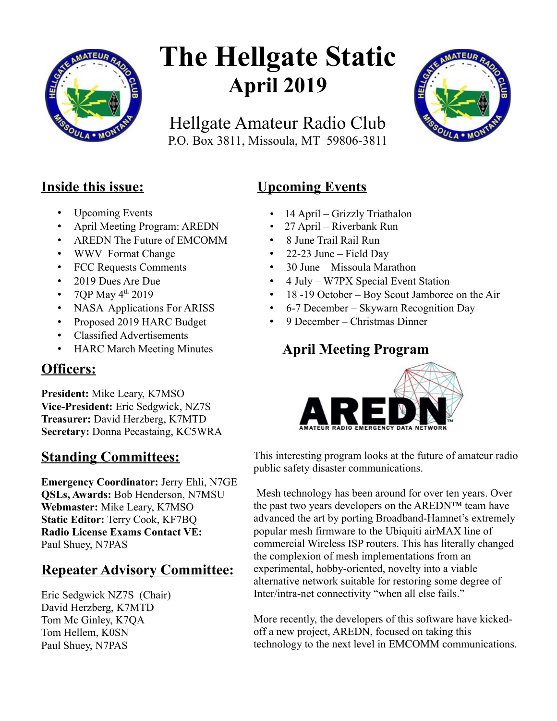

# **The Hellgate Static April 2019**

Hellgate Amateur Radio Club P.O. Box 3811, Missoula, MT 59806-3811



## **Inside this issue:**

- Upcoming Events
- April Meeting Program: AREDN
- AREDN The Future of EMCOMM
- WWV Format Change
- FCC Requests Comments
- 2019 Dues Are Due
- 7QP May  $4^{th}$  2019
- NASA Applications For ARISS
- Proposed 2019 HARC Budget
- Classified Advertisements
- HARC March Meeting Minutes

## **Officers:**

**President:** Mike Leary, K7MSO **Vice-President:** Eric Sedgwick, NZ7S **Treasurer:** David Herzberg, K7MTD **Secretary:** Donna Pecastaing, KC5WRA

## **Standing Committees:**

**Emergency Coordinator:** Jerry Ehli, N7GE **QSLs, Awards:** Bob Henderson, N7MSU **Webmaster:** Mike Leary, K7MSO **Static Editor:** Terry Cook, KF7BQ **Radio License Exams Contact VE:** Paul Shuey, N7PAS

## **Repeater Advisory Committee:**

Eric Sedgwick NZ7S (Chair) David Herzberg, K7MTD Tom Mc Ginley, K7QA Tom Hellem, K0SN Paul Shuey, N7PAS

# **Upcoming Events**

- 14 April Grizzly Triathalon
- 27 April Riverbank Run
- 8 June Trail Rail Run
- 22-23 June Field Day
- 30 June Missoula Marathon
- 4 July W7PX Special Event Station
- 18 -19 October Boy Scout Jamboree on the Air
- 6-7 December Skywarn Recognition Day
- 9 December Christmas Dinner

## **April Meeting Program**



This interesting program looks at the future of amateur radio public safety disaster communications.

Mesh technology has been around for over ten years. Over the past two years developers on the AREDN™ team have advanced the art by porting Broadband-Hamnet's extremely popular mesh firmware to the Ubiquiti airMAX line of commercial Wireless ISP routers. This has literally changed the complexion of mesh implementations from an experimental, hobby-oriented, novelty into a viable alternative network suitable for restoring some degree of Inter/intra-net connectivity "when all else fails."

More recently, the developers of this software have kickedoff a new project, AREDN, focused on taking this technology to the next level in EMCOMM communications.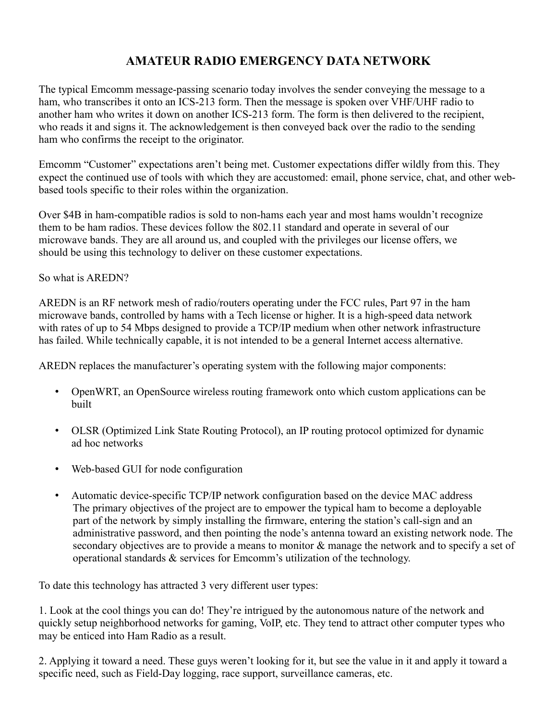#### **AMATEUR RADIO EMERGENCY DATA NETWORK**

The typical Emcomm message-passing scenario today involves the sender conveying the message to a ham, who transcribes it onto an ICS-213 form. Then the message is spoken over VHF/UHF radio to another ham who writes it down on another ICS-213 form. The form is then delivered to the recipient, who reads it and signs it. The acknowledgement is then conveyed back over the radio to the sending ham who confirms the receipt to the originator.

Emcomm "Customer" expectations aren't being met. Customer expectations differ wildly from this. They expect the continued use of tools with which they are accustomed: email, phone service, chat, and other webbased tools specific to their roles within the organization.

Over \$4B in ham-compatible radios is sold to non-hams each year and most hams wouldn't recognize them to be ham radios. These devices follow the 802.11 standard and operate in several of our microwave bands. They are all around us, and coupled with the privileges our license offers, we should be using this technology to deliver on these customer expectations.

So what is AREDN?

AREDN is an RF network mesh of radio/routers operating under the FCC rules, Part 97 in the ham microwave bands, controlled by hams with a Tech license or higher. It is a high-speed data network with rates of up to 54 Mbps designed to provide a TCP/IP medium when other network infrastructure has failed. While technically capable, it is not intended to be a general Internet access alternative.

AREDN replaces the manufacturer's operating system with the following major components:

- OpenWRT, an OpenSource wireless routing framework onto which custom applications can be built
- OLSR (Optimized Link State Routing Protocol), an IP routing protocol optimized for dynamic ad hoc networks
- Web-based GUI for node configuration
- Automatic device-specific TCP/IP network configuration based on the device MAC address The primary objectives of the project are to empower the typical ham to become a deployable part of the network by simply installing the firmware, entering the station's call-sign and an administrative password, and then pointing the node's antenna toward an existing network node. The secondary objectives are to provide a means to monitor  $\&$  manage the network and to specify a set of operational standards & services for Emcomm's utilization of the technology.

To date this technology has attracted 3 very different user types:

1. Look at the cool things you can do! They're intrigued by the autonomous nature of the network and quickly setup neighborhood networks for gaming, VoIP, etc. They tend to attract other computer types who may be enticed into Ham Radio as a result.

2. Applying it toward a need. These guys weren't looking for it, but see the value in it and apply it toward a specific need, such as Field-Day logging, race support, surveillance cameras, etc.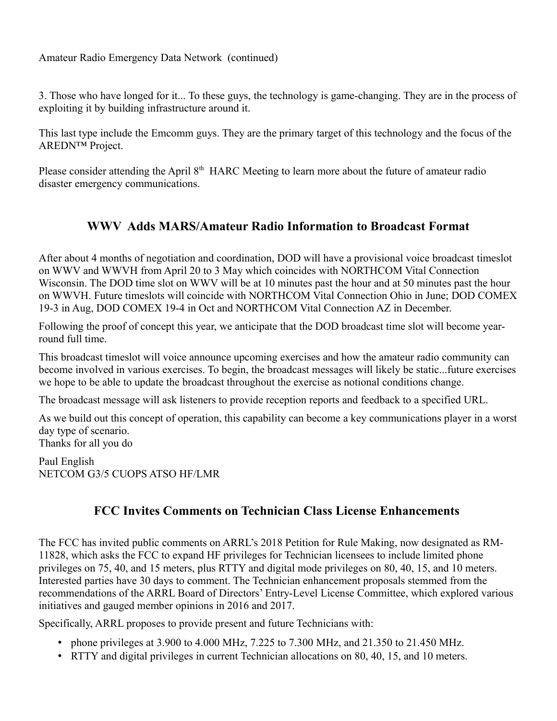Amateur Radio Emergency Data Network (continued)

3. Those who have longed for it... To these guys, the technology is game-changing. They are in the process of exploiting it by building infrastructure around it.

This last type include the Emcomm guys. They are the primary target of this technology and the focus of the AREDN™ Project.

Please consider attending the April 8<sup>th</sup> HARC Meeting to learn more about the future of amateur radio disaster emergency communications.

#### **WWV Adds MARS/Amateur Radio Information to Broadcast Format**

After about 4 months of negotiation and coordination, DOD will have a provisional voice broadcast timeslot on WWV and WWVH from April 20 to 3 May which coincides with NORTHCOM Vital Connection Wisconsin. The DOD time slot on WWV will be at 10 minutes past the hour and at 50 minutes past the hour on WWVH. Future timeslots will coincide with NORTHCOM Vital Connection Ohio in June; DOD COMEX 19-3 in Aug, DOD COMEX 19-4 in Oct and NORTHCOM Vital Connection AZ in December.

Following the proof of concept this year, we anticipate that the DOD broadcast time slot will become yearround full time.

This broadcast timeslot will voice announce upcoming exercises and how the amateur radio community can become involved in various exercises. To begin, the broadcast messages will likely be static...future exercises we hope to be able to update the broadcast throughout the exercise as notional conditions change.

The broadcast message will ask listeners to provide reception reports and feedback to a specified URL.

As we build out this concept of operation, this capability can become a key communications player in a worst day type of scenario.

Thanks for all you do

Paul English NETCOM G3/5 CUOPS ATSO HF/LMR

#### **FCC Invites Comments on Technician Class License Enhancements**

The FCC has invited public comments on ARRL's 2018 Petition for Rule Making, now designated as RM-11828, which asks the FCC to expand HF privileges for Technician licensees to include limited phone privileges on 75, 40, and 15 meters, plus RTTY and digital mode privileges on 80, 40, 15, and 10 meters. Interested parties have 30 days to comment. The Technician enhancement proposals stemmed from the recommendations of the ARRL Board of Directors' Entry-Level License Committee, which explored various initiatives and gauged member opinions in 2016 and 2017.

Specifically, ARRL proposes to provide present and future Technicians with:

- phone privileges at  $3.900$  to  $4.000$  MHz,  $7.225$  to  $7.300$  MHz, and  $21.350$  to  $21.450$  MHz.
- RTTY and digital privileges in current Technician allocations on 80, 40, 15, and 10 meters.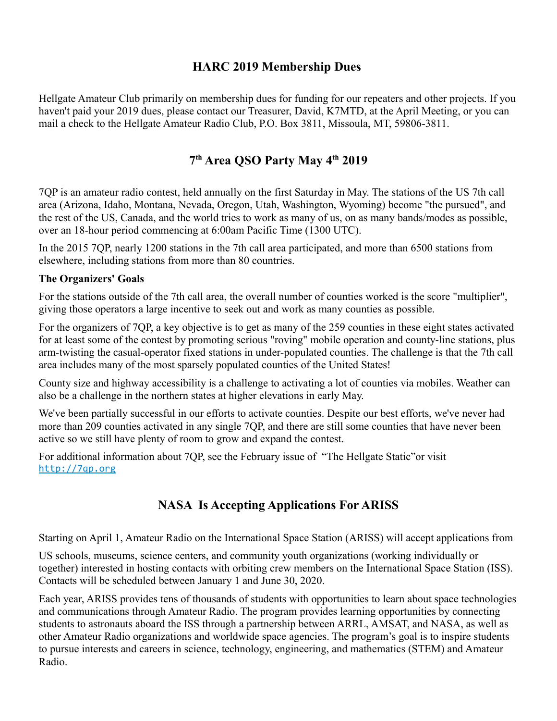#### **HARC 2019 Membership Dues**

Hellgate Amateur Club primarily on membership dues for funding for our repeaters and other projects. If you haven't paid your 2019 dues, please contact our Treasurer, David, K7MTD, at the April Meeting, or you can mail a check to the Hellgate Amateur Radio Club, P.O. Box 3811, Missoula, MT, 59806-3811.

#### **7 th Area QSO Party May 4th 2019**

7QP is an amateur radio contest, held annually on the first Saturday in May. The stations of the US 7th call area (Arizona, Idaho, Montana, Nevada, Oregon, Utah, Washington, Wyoming) become "the pursued", and the rest of the US, Canada, and the world tries to work as many of us, on as many bands/modes as possible, over an 18-hour period commencing at 6:00am Pacific Time (1300 UTC).

In the 2015 7QP, nearly 1200 stations in the 7th call area participated, and more than 6500 stations from elsewhere, including stations from more than 80 countries.

#### **The Organizers' Goals**

For the stations outside of the 7th call area, the overall number of counties worked is the score "multiplier", giving those operators a large incentive to seek out and work as many counties as possible.

For the organizers of 7QP, a key objective is to get as many of the 259 counties in these eight states activated for at least some of the contest by promoting serious "roving" mobile operation and county-line stations, plus arm-twisting the casual-operator fixed stations in under-populated counties. The challenge is that the 7th call area includes many of the most sparsely populated counties of the United States!

County size and highway accessibility is a challenge to activating a lot of counties via mobiles. Weather can also be a challenge in the northern states at higher elevations in early May.

We've been partially successful in our efforts to activate counties. Despite our best efforts, we've never had more than 209 counties activated in any single 7QP, and there are still some counties that have never been active so we still have plenty of room to grow and expand the contest.

For additional information about 7QP, see the February issue of "The Hellgate Static"or visit [http://7qp.org](http://7qp.org/)

#### **NASA Is Accepting Applications For ARISS**

Starting on April 1, Amateur Radio on the International Space Station (ARISS) will accept applications from

US schools, museums, science centers, and community youth organizations (working individually or together) interested in hosting contacts with orbiting crew members on the International Space Station (ISS). Contacts will be scheduled between January 1 and June 30, 2020.

Each year, ARISS provides tens of thousands of students with opportunities to learn about space technologies and communications through Amateur Radio. The program provides learning opportunities by connecting students to astronauts aboard the ISS through a partnership between ARRL, AMSAT, and NASA, as well as other Amateur Radio organizations and worldwide space agencies. The program's goal is to inspire students to pursue interests and careers in science, technology, engineering, and mathematics (STEM) and Amateur Radio.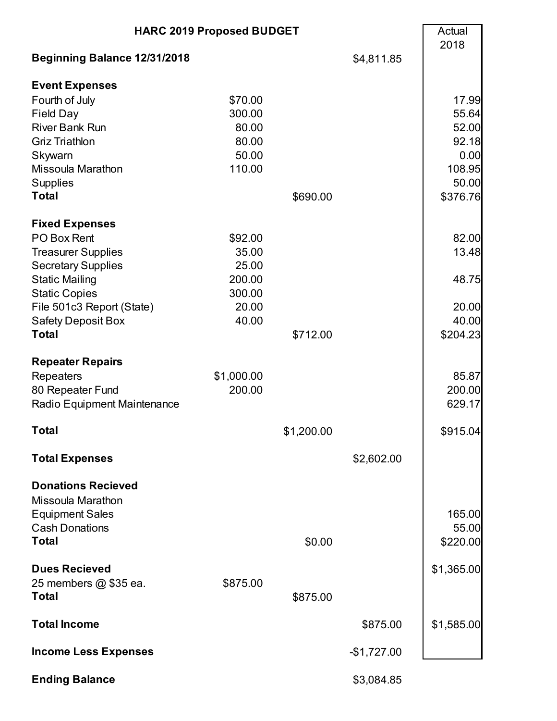| <b>HARC 2019 Proposed BUDGET</b>    |            |            |              | Actual<br>2018 |
|-------------------------------------|------------|------------|--------------|----------------|
| <b>Beginning Balance 12/31/2018</b> |            |            | \$4,811.85   |                |
| <b>Event Expenses</b>               |            |            |              |                |
| Fourth of July                      | \$70.00    |            |              | 17.99          |
| <b>Field Day</b>                    | 300.00     |            |              | 55.64          |
| <b>River Bank Run</b>               | 80.00      |            |              | 52.00          |
| <b>Griz Triathlon</b>               | 80.00      |            |              | 92.18          |
| Skywarn                             | 50.00      |            |              | 0.00           |
| <b>Missoula Marathon</b>            | 110.00     |            |              | 108.95         |
| <b>Supplies</b>                     |            |            |              | 50.00          |
| <b>Total</b>                        |            | \$690.00   |              | \$376.76       |
| <b>Fixed Expenses</b>               |            |            |              |                |
| PO Box Rent                         | \$92.00    |            |              | 82.00          |
| <b>Treasurer Supplies</b>           | 35.00      |            |              | 13.48          |
| <b>Secretary Supplies</b>           | 25.00      |            |              |                |
| <b>Static Mailing</b>               | 200.00     |            |              | 48.75          |
| <b>Static Copies</b>                | 300.00     |            |              |                |
| File 501c3 Report (State)           | 20.00      |            |              | 20.00          |
| <b>Safety Deposit Box</b>           | 40.00      |            |              | 40.00          |
| <b>Total</b>                        |            | \$712.00   |              | \$204.23       |
| <b>Repeater Repairs</b>             |            |            |              |                |
| <b>Repeaters</b>                    | \$1,000.00 |            |              | 85.87          |
| 80 Repeater Fund                    | 200.00     |            |              | 200.00         |
| Radio Equipment Maintenance         |            |            |              | 629.17         |
|                                     |            |            |              |                |
| <b>Total</b>                        |            | \$1,200.00 |              | \$915.04       |
| <b>Total Expenses</b>               |            |            | \$2,602.00   |                |
| <b>Donations Recieved</b>           |            |            |              |                |
| <b>Missoula Marathon</b>            |            |            |              |                |
| <b>Equipment Sales</b>              |            |            |              | 165.00         |
| <b>Cash Donations</b>               |            |            |              | 55.00          |
| <b>Total</b>                        |            | \$0.00     |              | \$220.00       |
|                                     |            |            |              |                |
| <b>Dues Recieved</b>                |            |            |              | \$1,365.00     |
| 25 members @ \$35 ea.               | \$875.00   |            |              |                |
| <b>Total</b>                        |            | \$875.00   |              |                |
| <b>Total Income</b>                 |            |            | \$875.00     | \$1,585.00     |
| <b>Income Less Expenses</b>         |            |            | $-$1,727.00$ |                |
|                                     |            |            |              |                |
| <b>Ending Balance</b>               |            |            | \$3,084.85   |                |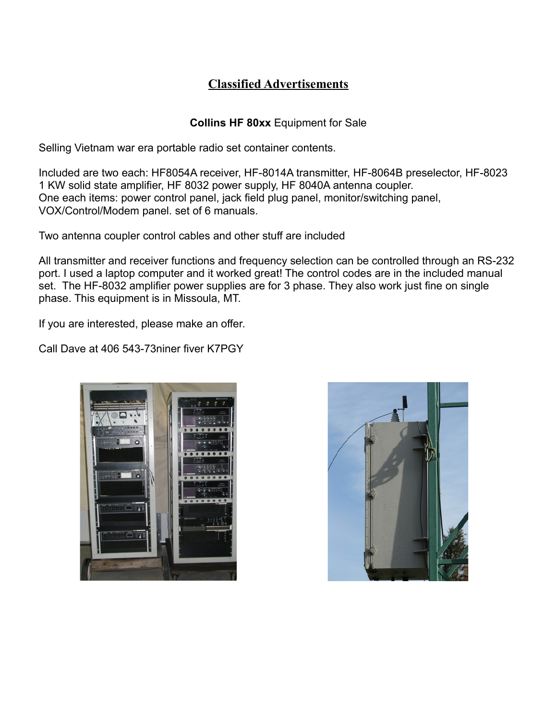### **Classified Advertisements**

#### **Collins HF 80xx** Equipment for Sale

Selling Vietnam war era portable radio set container contents.

Included are two each: HF8054A receiver, HF-8014A transmitter, HF-8064B preselector, HF-8023 1 KW solid state amplifier, HF 8032 power supply, HF 8040A antenna coupler. One each items: power control panel, jack field plug panel, monitor/switching panel, VOX/Control/Modem panel. set of 6 manuals.

Two antenna coupler control cables and other stuff are included

All transmitter and receiver functions and frequency selection can be controlled through an RS-232 port. I used a laptop computer and it worked great! The control codes are in the included manual set. The HF-8032 amplifier power supplies are for 3 phase. They also work just fine on single phase. This equipment is in Missoula, MT.

If you are interested, please make an offer.

Call Dave at 406 543-73niner fiver K7PGY